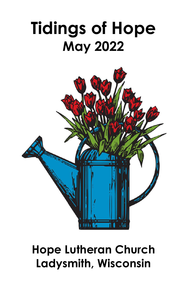## **Tidings of Hope May 2022**



## **Hope Lutheran Church Ladysmith, Wisconsin**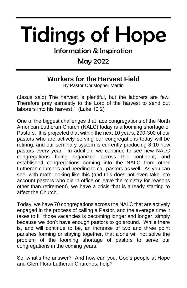# Tidings of Hope

Information & Inspiration

#### May 2022

#### **Workers for the Harvest Field**

By Pastor Christopher Martin

(Jesus said) The harvest is plentiful, but the laborers are few. Therefore pray earnestly to the Lord of the harvest to send out laborers into his harvest." (Luke 10:2)

One of the biggest challenges that face congregations of the North American Lutheran Church (NALC) today is a looming shortage of Pastors. It is projected that within the next 10 years, 200-300 of our pastors who are actively serving our congregations today will be retiring, and our seminary system is currently producing 8-10 new pastors every year. In addition, we continue to see new NALC congregations being organized across the continent, and established congregations coming into the NALC from other Lutheran churches and needing to call pastors as well. As you can see, with math looking like this (and this does not even take into account pastors who die in office or leave the ministry for reasons other than retirement), we have a crisis that is already starting to affect the Church.

Today, we have 70 congregations across the NALC that are actively engaged in the process of calling a Pastor, and the average time it takes to fill those vacancies is becoming longer and longer, simply because we don't have enough pastors to go around. While there is, and will continue to be, an increase of two and three point parishes forming or staying together, that alone will not solve the problem of the looming shortage of pastors to serve our congregations in the coming years.

So, what's the answer? And how can you, God's people at Hope and Glen Flora Lutheran Churches, help?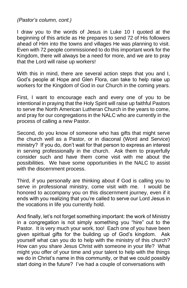*(Pastor's column, cont.)*

I draw you to the words of Jesus in Luke 10 I quoted at the beginning of this article as He prepares to send 72 of His followers ahead of Him into the towns and villages He was planning to visit. Even with 72 people commissioned to do this important work for the Kingdom, there will always be a need for more, and we are to pray that the Lord will raise up workers!

With this in mind, there are several action steps that you and I, God's people at Hope and Glen Flora, can take to help raise up workers for the Kingdom of God in our Church in the coming years.

First, I want to encourage each and every one of you to be intentional in praying that the Holy Spirit will raise up faithful Pastors to serve the North American Lutheran Church in the years to come, and pray for our congregations in the NALC who are currently in the process of calling a new Pastor.

Second, do you know of someone who has gifts that might serve the church well as a Pastor, or in diaconal (Word and Service) ministry? If you do, don't wait for that person to express an interest in serving professionally in the church. Ask them to prayerfully consider such and have them come visit with me about the possibilities. We have some opportunities in the NALC to assist with the discernment process.

Third, if you personally are thinking about if God is calling you to serve in professional ministry, come visit with me. I would be honored to accompany you on this discernment journey, even if it ends with you realizing that you're called to serve our Lord Jesus in the vocations in life you currently hold.

And finally, let's not forget something important: the work of Ministry in a congregation is not simply something you "hire" out to the Pastor. It is very much your work, too! Each one of you have been given spiritual gifts for the building up of God's kingdom. Ask yourself what can you do to help with the ministry of this church? How can you share Jesus Christ with someone in your life? What might you offer of your time and your talent to help with the things we do in Christ's name in this community, or that we could possibly start doing in the future? I've had a couple of conversations with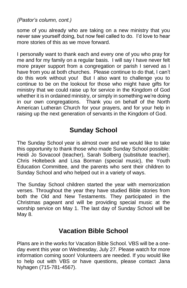*(Pastor's column, cont.)*

some of you already who are taking on a new ministry that you never saw yourself doing, but now feel called to do. I'd love to hear more stories of this as we move forward.

I personally want to thank each and every one of you who pray for me and for my family on a regular basis. I will say I have never felt more prayer support from a congregation or parish I served as I have from you at both churches. Please continue to do that, I can't do this work without you! But I also want to challenge you to continue to be on the lookout for those who might have gifts for ministry that we could raise up for service in the Kingdom of God whether it is in ordained ministry, or simply in something we're doing in our own congregations. Thank you on behalf of the North American Lutheran Church for your prayers, and for your help in raising up the next generation of servants in the Kingdom of God.

#### **Sunday School**

The Sunday School year is almost over and we would like to take this opportunity to thank those who made Sunday School possible: Heidi Jo Sovacool (teacher), Sarah Solberg (substitute teacher), Chris Holtebeck and Lisa Borman (special music), the Youth Education Committee, and the parents who sent their children to Sunday School and who helped out in a variety of ways.

The Sunday School children started the year with memorization verses. Throughout the year they have studied Bible stories from both the Old and New Testaments. They participated in the Christmas pageant and will be providing special music at the worship service on May 1. The last day of Sunday School will be May 8.

#### **Vacation Bible School**

Plans are in the works for Vacation Bible School. VBS will be a oneday event this year on Wednesday, July 27. Please watch for more information coming soon! Volunteers are needed. If you would like to help out with VBS or have questions, please contact Jana Nyhagen (715-781-4567).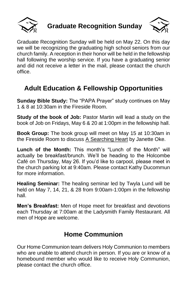

**Graduate Recognition Sunday**



Graduate Recognition Sunday will be held on May 22. On this day we will be recognizing the graduating high school seniors from our church family. A reception in their honor will be held in the fellowship hall following the worship service. If you have a graduating senior and did not receive a letter in the mail, please contact the church office.

#### **Adult Education & Fellowship Opportunities**

**Sunday Bible Study:** The "PAPA Prayer" study continues on May 1 & 8 at 10:30am in the Fireside Room.

**Study of the book of Job:** Pastor Martin will lead a study on the book of Job on Fridays, May 6 & 20 at 1:00pm in the fellowship hall.

**Book Group:** The book group will meet on May 15 at 10:30am in the Fireside Room to discuss A Searching Heart by Janette Oke.

**Lunch of the Month:** This month's "Lunch of the Month" will actually be breakfast/brunch. We'll be heading to the Holcombe Café on Thursday, May 26. If you'd like to carpool, please meet in the church parking lot at 9:40am. Please contact Kathy Ducommun for more information.

**Healing Seminar:** The healing seminar led by Twyla Lund will be held on May 7, 14, 21, & 28 from 9:00am-1:00pm in the fellowship hall.

**Men's Breakfast:** Men of Hope meet for breakfast and devotions each Thursday at 7:00am at the Ladysmith Family Restaurant. All men of Hope are welcome.

#### **Home Communion**

Our Home Communion team delivers Holy Communion to members who are unable to attend church in person. If you are or know of a homebound member who would like to receive Holy Communion, please contact the church office.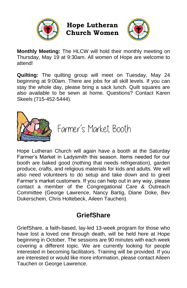

**Hope Lutheran Church Women**



**Monthly Meeting:** The HLCW will hold their monthly meeting on Thursday, May 19 at 9:30am. All women of Hope are welcome to attend!

**Quilting:** The quilting group will meet on Tuesday, May 24 beginning at 9:00am. There are jobs for all skill levels. If you can stay the whole day, please bring a sack lunch. Quilt squares are also available to be sewn at home. Questions? Contact Karen Skeels (715-452-5444).



Farmer's Market Booth

Hope Lutheran Church will again have a booth at the Saturday Farmer's Market in Ladysmith this season. Items needed for our booth are baked good (nothing that needs refrigeration), garden produce, crafts, and religious materials for kids and adults. We will also need volunteers to do setup and take down and to greet Farmer's market customers. If you can help out in any way, please contact a member of the Congregational Care & Outreach Committee (George Lawrence, Nancy Bartig, Diane Doke, Bev Dukerschein, Chris Holtebeck, Aileen Tauchen).

#### **GriefShare**

GriefShare, a faith-based, lay-led 13-week program for those who have lost a loved one through death, will be held here at Hope beginning in October. The sessions are 90 minutes with each week covering a different topic. We are currently looking for people interested in becoming facilitators. Training will be provided. If you are interested or would like more information, please contact Aileen Tauchen or George Lawrence.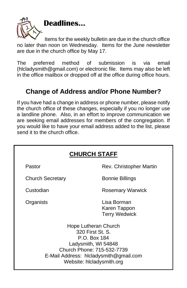

Items for the weekly bulletin are due in the church office no later than noon on Wednesday. Items for the June newsletter are due in the church office by May 17.

The preferred method of submission is via email [\(hlcladysmith@gmail.com\)](mailto:hlcladysmith@gmail.com) or electronic file. Items may also be left in the office mailbox or dropped off at the office during office hours.

#### **Change of Address and/or Phone Number?**

If you have had a change in address or phone number, please notify the church office of these changes, especially if you no longer use a landline phone. Also, in an effort to improve communication we are seeking email addresses for members of the congregation. If you would like to have your email address added to the list, please send it to the church office.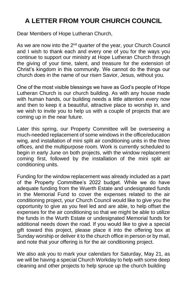#### **A LETTER FROM YOUR CHURCH COUNCIL**

Dear Members of Hope Lutheran Church,

As we are now into the  $2^{nd}$  quarter of the year, your Church Council and I wish to thank each and every one of you for the ways you continue to support our ministry at Hope Lutheran Church through the giving of your time, talent, and treasure for the extension of Christ's kingdom in this community. We cannot do the things our church does in the name of our risen Savior, Jesus, without you.

One of the most visible blessings we have as God's people of Hope Lutheran Church is our church building. As with any house made with human hands, our building needs a little attention every now and then to keep it a beautiful, attractive place to worship in, and we wish to invite you to help us with a couple of projects that are coming up in the near future.

Later this spring, our Property Committee will be overseeing a much-needed replacement of some windows in the office/education wing, and installation of mini split air conditioning units in the three offices, and the multipurpose room. Work is currently scheduled to begin in early June on both projects, with the window replacement coming first, followed by the installation of the mini split air conditioning units.

Funding for the window replacement was already included as a part of the Property Committee's 2022 budget. While we do have adequate funding from the Wuerth Estate and undesignated funds in the Memorial Fund to cover the expenses related to the air conditioning project, your Church Council would like to give you the opportunity to give as you feel led and are able, to help offset the expenses for the air conditioning so that we might be able to utilize the funds in the Wurth Estate or undesignated Memorial funds for additional needs down the road. If you would like to give a special gift toward this project, please place it into the offering box at Sunday worship or deliver it to the church office in person or by mail, and note that your offering is for the air conditioning project.

We also ask you to mark your calendars for Saturday, May 21, as we will be having a special Church Workday to help with some deep cleaning and other projects to help spruce up the church building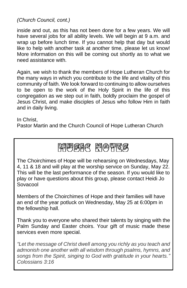*(Church Council, cont.)*

inside and out, as this has not been done for a few years. We will have several jobs for all ability levels. We will begin at 9 a.m. and wrap up before lunch time. If you cannot help that day but would like to help with another task at another time, please let us know! More information on this will be coming out shortly as to what we need assistance with.

Again, we wish to thank the members of Hope Lutheran Church for the many ways in which you contribute to the life and vitality of this community of faith. We look forward to continuing to allow ourselves to be open to the work of the Holy Spirit in the life of this congregation as we step out in faith, boldly proclaim the gospel of Jesus Christ, and make disciples of Jesus who follow Him in faith and in daily living.

#### In Christ,

Pastor Martin and the Church Council of Hope Lutheran Church

### 開閉窗尾 開色胃尾

The Choirchimes of Hope will be rehearsing on Wednesdays, May 4, 11 & 18 and will play at the worship service on Sunday, May 22. This will be the last performance of the season. If you would like to play or have questions about this group, please contact Heidi Jo Sovacool

Members of the Choirchimes of Hope and their families will have an end of the year potluck on Wednesday, May 25 at 6:00pm in the fellowship hall.

Thank you to everyone who shared their talents by singing with the Palm Sunday and Easter choirs. Your gift of music made these services even more special.

*"Let the message of Christ dwell among you richly as you teach and admonish one another with all wisdom through psalms, hymns, and songs from the Spirit, singing to God with gratitude in your hearts." Colossians 3:16*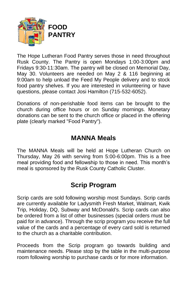

The Hope Lutheran Food Pantry serves those in need throughout Rusk County. The Pantry is open Mondays 1:00-3:00pm and Fridays 9:30-11:30am. The pantry will be closed on Memorial Day, May 30. Volunteers are needed on May 2 & 116 beginning at 9:00am to help unload the Feed My People delivery and to stock food pantry shelves. If you are interested in volunteering or have questions, please contact Josi Hamilton (715-532-6052).

Donations of non-perishable food items can be brought to the church during office hours or on Sunday mornings. Monetary donations can be sent to the church office or placed in the offering plate (clearly marked "Food Pantry").

#### **MANNA Meals**

The MANNA Meals will be held at Hope Lutheran Church on Thursday, May 26 with serving from 5:00-6:00pm. This is a free meal providing food and fellowship to those in need. This month's meal is sponsored by the Rusk County Catholic Cluster.

#### **Scrip Program**

Scrip cards are sold following worship most Sundays. Scrip cards are currently available for Ladysmith Fresh Market, Walmart, Kwik Trip, Holiday, DQ, Subway and McDonald's. Scrip cards can also be ordered from a list of other businesses (special orders must be paid for in advance). Through the scrip program you receive the full value of the cards and a percentage of every card sold is returned to the church as a charitable contribution.

Proceeds from the Scrip program go towards building and maintenance needs. Please stop by the table in the multi-purpose room following worship to purchase cards or for more information.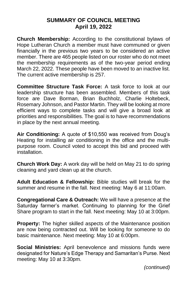#### **SUMMARY OF COUNCIL MEETING April 19, 2022**

**Church Membership:** According to the constitutional bylaws of Hope Lutheran Church a member must have communed or given financially in the previous two years to be considered an active member. There are 465 people listed on our roster who do not meet the membership requirements as of the two-year period ending March 22, 2022. These people have been moved to an inactive list. The current active membership is 257.

**Committee Structure Task Force:** A task force to look at our leadership structure has been assembled. Members of this task force are Dave Borman, Brian Buchholz, Charlie Holtebeck, Rosemary Johnson, and Pastor Martin. They will be looking at more efficient ways to complete tasks and will give a broad look at priorities and responsibilities. The goal is to have recommendations in place by the next annual meeting.

**Air Conditioning:** A quote of \$10,550 was received from Doug's Heating for installing air conditioning in the office and the multipurpose room. Council voted to accept this bid and proceed with installation.

**Church Work Day:** A work day will be held on May 21 to do spring cleaning and yard clean up at the church.

**Adult Education & Fellowship:** Bible studies will break for the summer and resume in the fall. Next meeting: May 6 at 11:00am.

**Congregational Care & Outreach:** We will have a presence at the Saturday farmer's market. Continuing to planning for the Grief Share program to start in the fall. Next meeting: May 10 at 3:00pm.

**Property:** The higher skilled aspects of the Maintenance position are now being contracted out. Will be looking for someone to do basic maintenance. Next meeting: May 10 at 6:00pm.

**Social Ministries:** April benevolence and missions funds were designated for Nature's Edge Therapy and Samaritan's Purse. Next meeting: May 10 at 3:30pm.

*(continued)*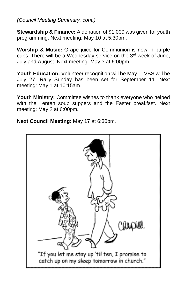*(Council Meeting Summary, cont.)*

**Stewardship & Finance:** A donation of \$1,000 was given for youth programming. Next meeting: May 10 at 5:30pm.

**Worship & Music:** Grape juice for Communion is now in purple cups. There will be a Wednesday service on the 3<sup>rd</sup> week of June, July and August. Next meeting: May 3 at 6:00pm.

**Youth Education:** Volunteer recognition will be May 1. VBS will be July 27. Rally Sunday has been set for September 11. Next meeting: May 1 at 10:15am.

**Youth Ministry:** Committee wishes to thank everyone who helped with the Lenten soup suppers and the Easter breakfast. Next meeting: May 2 at 6:00pm.

**Next Council Meeting:** May 17 at 6:30pm.

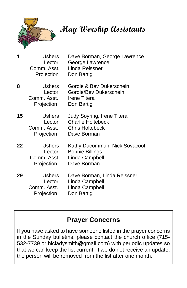

 **May Worship Assistants**

| 1  | Ushers<br>Lector<br>Comm. Asst.<br>Projection          | Dave Borman, George Lawrence<br>George Lawrence<br>Linda Reissner<br>Don Bartig                 |
|----|--------------------------------------------------------|-------------------------------------------------------------------------------------------------|
| 8  | <b>Ushers</b><br>Lector<br>Comm. Asst. .<br>Projection | Gordie & Bev Dukerschein<br>Gordie/Bev Dukerschein<br>Irene Titera<br>Don Bartig                |
| 15 | <b>Ushers</b><br>Lector<br>Comm. Asst.<br>Projection   | Judy Soyring, Irene Titera<br><b>Charlie Holtebeck</b><br><b>Chris Holtebeck</b><br>Dave Borman |
| 22 | Ushers<br>Lector<br>Comm. Asst.<br>Projection          | Kathy Ducommun, Nick Sovacool<br><b>Bonnie Billings</b><br>Linda Campbell<br>Dave Borman        |
| 29 | <b>Ushers</b><br>Lector<br>Comm. Asst.<br>Projection   | Dave Borman, Linda Reissner<br>Linda Campbell<br>Linda Campbell<br>Don Bartig                   |

#### **Prayer Concerns**

If you have asked to have someone listed in the prayer concerns in the Sunday bulletins, please contact the church office (715- 532-7739 or [hlcladysmith@gmail.com\)](mailto:hlcladysmith@gmail.com) with periodic updates so that we can keep the list current. If we do not receive an update, the person will be removed from the list after one month.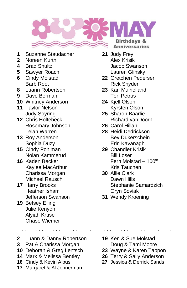

- **1** Suzanne Staudacher **21** Judy Frey
- **2** Noreen Kurth **Alex Krisik**
- 
- **5** Sawyer Roach Lauren Glinsky
- 
- **8** Luann Robertson **23** Kari Mulholland
- **9** Dave Borman **Tori Petrus**
- **10** Whitney Anderson **24** Kjell Olson
- 
- **12** Chris Holtebeck Richard vanDoorn Rosemary Johnson **26** Carol Hillan Lelan Warren **28** Heidi Dedrickson
- 
- **15** Cindy Pohlman **29** Chandler Krisik Nolan Kammerud Bill Loser
- Kaylee MacArthur **Kris Tauchen**<br>Charissa Morgan **Chart Stand Stand Stand** Chark **Charissa Morgan** Michael Rausch Dawn Hills
- Heather Isham **Oryn Soviak** Jefferson Swanson **31** Wendy Kroening
- **19** Betsey Elling Julie Kenyon Alyiah Kruse Chase Wiemer
- **2** Luann & Danny Robertson **19** Ken & Sue Molstad
- **3** Pat & Charissa Morgan **Doug & Tami Moore**
- **10** Deborah & Greg Lentsch **23** Wayne & Karen Tappon
- **14** Mark & Melissa Bentley **26** Terry & Sally Anderson
- **16** Cindy & Kevin Albus **27** Jessica & Derrick Sands
- **17** Margaret & Al Jennerman
- **4** Brad Shultz Jacob Swanson
- **6** Cindy Molstad **22** Gretchen Pedersen Barb Root **Rick Snyder** 
	-
- **11** Taylor Nelson **Kyrsten Olson** 
	- Judy Soyring **25** Sharon Baarlie
		-
- **13** Roy Anderson Bev Dukerschein Sophia Duzy **Erin Kavanagh**
- **16** Kaden Becker **Fern Molstad 100<sup>th</sup>**
- **17** Harry Brooks Stephanie Samardzich
	-

- 
- 
- 
-